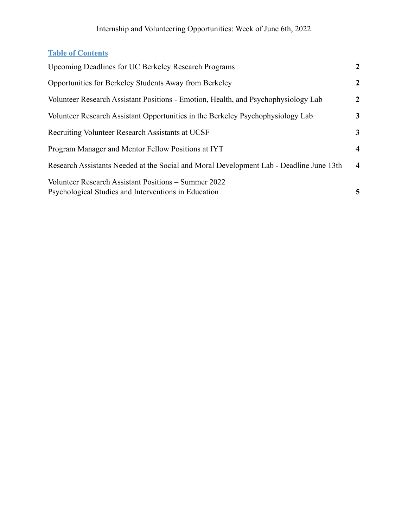#### **Table of Contents**

| <b>Upcoming Deadlines for UC Berkeley Research Programs</b>                                                  | $\overline{2}$          |
|--------------------------------------------------------------------------------------------------------------|-------------------------|
| Opportunities for Berkeley Students Away from Berkeley                                                       | $\overline{2}$          |
| Volunteer Research Assistant Positions - Emotion, Health, and Psychophysiology Lab                           | $\overline{2}$          |
| Volunteer Research Assistant Opportunities in the Berkeley Psychophysiology Lab                              | 3                       |
| <b>Recruiting Volunteer Research Assistants at UCSF</b>                                                      | 3                       |
| Program Manager and Mentor Fellow Positions at IYT                                                           | $\overline{\mathbf{4}}$ |
| Research Assistants Needed at the Social and Moral Development Lab - Deadline June 13th                      | $\overline{\mathbf{4}}$ |
| Volunteer Research Assistant Positions – Summer 2022<br>Psychological Studies and Interventions in Education | 5                       |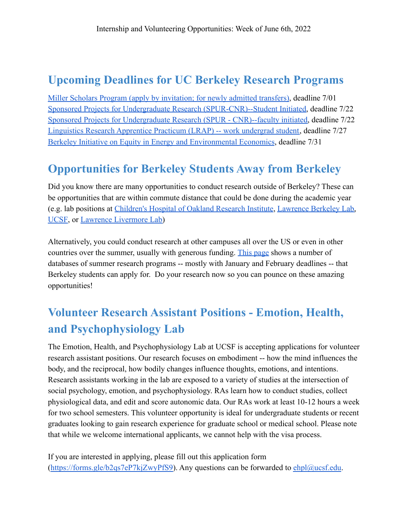## <span id="page-1-0"></span>**Upcoming Deadlines for UC Berkeley Research Programs**

[Miller Scholars Program \(apply by invitation; for newly admitted transfers\)](https://millerscholars.berkeley.edu/apply), deadline 7/01 [Sponsored Projects for Undergraduate Research \(SPUR-CNR\)--Student Initiated,](http://nature.berkeley.edu/site/spur.php) deadline 7/22 [Sponsored Projects for Undergraduate Research \(SPUR - CNR\)--faculty initiated,](http://nature.berkeley.edu/site/spur.php) deadline 7/22 [Linguistics Research Apprentice Practicum \(LRAP\) -- work undergrad student,](https://lx.berkeley.edu/ugrad/lrap) deadline 7/27 [Berkeley Initiative on Equity in Energy and Environmental Economics](http://www.olab.berkeley.edu/energyinstitute-sloan), deadline 7/31

### <span id="page-1-1"></span>**Opportunities for Berkeley Students Away from Berkeley**

Did you know there are many opportunities to conduct research outside of Berkeley? These can be opportunities that are within commute distance that could be done during the academic year (e.g. lab positions at [Children's Hospital of Oakland](http://www.chori.org/drupal1/) Research Institute, [Lawrence Berkeley Lab,](https://www.lbl.gov/) [UCSF](https://www.ucsf.edu/), or [Lawrence Livermore Lab\)](https://www.llnl.gov/)

Alternatively, you could conduct research at other campuses all over the US or even in other countries over the summer, usually with generous funding. [This page](https://research.berkeley.edu/opportunities/B) shows a number of databases of summer research programs -- mostly with January and February deadlines -- that Berkeley students can apply for. Do your research now so you can pounce on these amazing opportunities!

# <span id="page-1-2"></span>**Volunteer Research Assistant Positions - Emotion, Health, and Psychophysiology Lab**

The Emotion, Health, and Psychophysiology Lab at UCSF is accepting applications for volunteer research assistant positions. Our research focuses on embodiment -- how the mind influences the body, and the reciprocal, how bodily changes influence thoughts, emotions, and intentions. Research assistants working in the lab are exposed to a variety of studies at the intersection of social psychology, emotion, and psychophysiology. RAs learn how to conduct studies, collect physiological data, and edit and score autonomic data. Our RAs work at least 10-12 hours a week for two school semesters. This volunteer opportunity is ideal for undergraduate students or recent graduates looking to gain research experience for graduate school or medical school. Please note that while we welcome international applicants, we cannot help with the visa process.

If you are interested in applying, please fill out this application form  $(\text{https://forms.gle/b2qs7eP7kiZwvPfS9})$ . Any questions can be forwarded to ehpl $@ucsf.edu$ .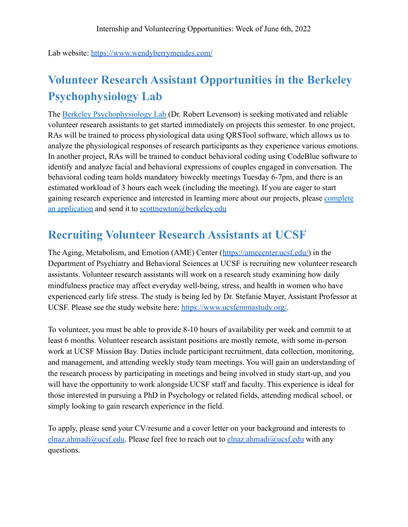Lab website: <https://www.wendyberrymendes.com/>

# <span id="page-2-0"></span>**Volunteer Research Assistant Opportunities in the Berkeley Psychophysiology Lab**

The [Berkeley Psychophysiology Lab](https://bpl.berkeley.edu/index.html) (Dr. Robert Levenson) is seeking motivated and reliable volunteer research assistants to get started immediately on projects this semester. In one project, RAs will be trained to process physiological data using QRSTool software, which allows us to analyze the physiological responses of research participants as they experience various emotions. In another project, RAs will be trained to conduct behavioral coding using CodeBlue software to identify and analyze facial and behavioral expressions of couples engaged in conversation. The behavioral coding team holds mandatory biweekly meetings Tuesday 6-7pm, and there is an estimated workload of 3 hours each week (including the meeting). If you are eager to start gaining research experience and interested in learning more about our projects, please [complete](https://bpl.berkeley.edu/Application%20for%20Research%20Assistantship%20UCBPL.pdf) [an application](https://bpl.berkeley.edu/Application%20for%20Research%20Assistantship%20UCBPL.pdf) and send it to [scottnewton@berkeley.edu](mailto:scottnewton@berkeley.edu)

### <span id="page-2-1"></span>**Recruiting Volunteer Research Assistants at UCSF**

The Aging, Metabolism, and Emotion (AME) Center ([https://amecenter.ucsf.edu/\)](https://amecenter.ucsf.edu/) in the Department of Psychiatry and Behavioral Sciences at UCSF is recruiting new volunteer research assistants. Volunteer research assistants will work on a research study examining how daily mindfulness practice may affect everyday well-being, stress, and health in women who have experienced early life stress. The study is being led by Dr. Stefanie Mayer, Assistant Professor at UCSF. Please see the study website here: [https://www.ucsfemmastudy.org/.](https://www.ucsfemmastudy.org/)

To volunteer, you must be able to provide 8-10 hours of availability per week and commit to at least 6 months. Volunteer research assistant positions are mostly remote, with some in-person work at UCSF Mission Bay. Duties include participant recruitment, data collection, monitoring, and management, and attending weekly study team meetings. You will gain an understanding of the research process by participating in meetings and being involved in study start-up, and you will have the opportunity to work alongside UCSF staff and faculty. This experience is ideal for those interested in pursuing a PhD in Psychology or related fields, attending medical school, or simply looking to gain research experience in the field.

To apply, please send your CV/resume and a cover letter on your background and interests to [elnaz.ahmadi@ucsf.edu](mailto:elnaz.ahmadi@ucsf.edu). Please feel free to reach out to elnaz.ahmadi@ucsf.edu with any questions.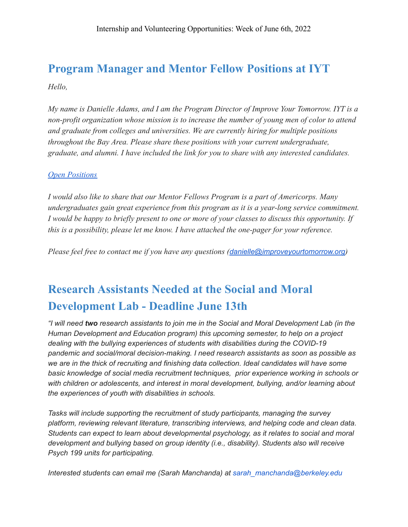## <span id="page-3-0"></span>**Program Manager and Mentor Fellow Positions at IYT** *Hello,*

*My name is Danielle Adams, and I am the Program Director of Improve Your Tomorrow. IYT is a non-profit organization whose mission is to increase the number of young men of color to attend and graduate from colleges and universities. We are currently hiring for multiple positions throughout the Bay Area. Please share these positions with your current undergraduate, graduate, and alumni. I have included the link for you to share with any interested candidates.*

#### *[Open Positions](https://www.improveyourtomorrow.org/careers)*

*I would also like to share that our Mentor Fellows Program is a part of Americorps. Many undergraduates gain great experience from this program as it is a year-long service commitment. I would be happy to briefly present to one or more of your classes to discuss this opportunity. If this is a possibility, please let me know. I have attached the one-pager for your reference.*

*Please feel free to contact me if you have any questions ([danielle@improveyourtomorrow.org](mailto:danielle@improveyourtomorrow.org))*

## <span id="page-3-1"></span>**Research Assistants Needed at the Social and Moral Development Lab - Deadline June 13th**

*"I will need two research assistants to join me in the Social and Moral Development Lab (in the Human Development and Education program) this upcoming semester, to help on a project dealing with the bullying experiences of students with disabilities during the COVID-19 pandemic and social/moral decision-making. I need research assistants as soon as possible as we are in the thick of recruiting and finishing data collection. Ideal candidates will have some basic knowledge of social media recruitment techniques, prior experience working in schools or with children or adolescents, and interest in moral development, bullying, and/or learning about the experiences of youth with disabilities in schools.*

*Tasks will include supporting the recruitment of study participants, managing the survey platform, reviewing relevant literature, transcribing interviews, and helping code and clean data. Students can expect to learn about developmental psychology, as it relates to social and moral development and bullying based on group identity (i.e., disability). Students also will receive Psych 199 units for participating.*

*Interested students can email me (Sarah Manchanda) at sarah\_manchanda@berkeley.edu*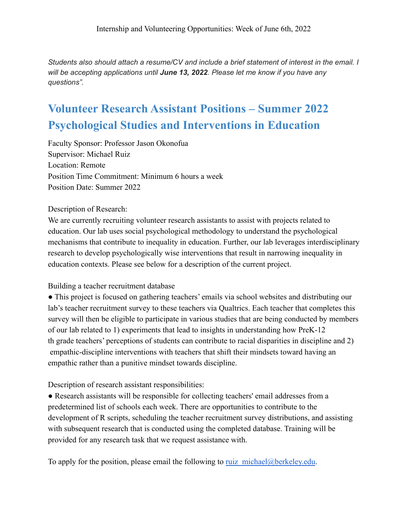*Students also should attach a resume/CV and include a brief statement of interest in the email. I will be accepting applications until June 13, 2022. Please let me know if you have any questions".*

# <span id="page-4-0"></span>**Volunteer Research Assistant Positions – Summer 2022 Psychological Studies and Interventions in Education**

Faculty Sponsor: Professor Jason Okonofua Supervisor: Michael Ruiz Location: Remote Position Time Commitment: Minimum 6 hours a week Position Date: Summer 2022

Description of Research:

We are currently recruiting volunteer research assistants to assist with projects related to education. Our lab uses social psychological methodology to understand the psychological mechanisms that contribute to inequality in education. Further, our lab leverages interdisciplinary research to develop psychologically wise interventions that result in narrowing inequality in education contexts. Please see below for a description of the current project.

#### Building a teacher recruitment database

● This project is focused on gathering teachers' emails via school websites and distributing our lab's teacher recruitment survey to these teachers via Qualtrics. Each teacher that completes this survey will then be eligible to participate in various studies that are being conducted by members of our lab related to 1) experiments that lead to insights in understanding how PreK-12 th grade teachers' perceptions of students can contribute to racial disparities in discipline and 2) empathic-discipline interventions with teachers that shift their mindsets toward having an empathic rather than a punitive mindset towards discipline.

Description of research assistant responsibilities:

● Research assistants will be responsible for collecting teachers' email addresses from a predetermined list of schools each week. There are opportunities to contribute to the development of R scripts, scheduling the teacher recruitment survey distributions, and assisting with subsequent research that is conducted using the completed database. Training will be provided for any research task that we request assistance with.

To apply for the position, please email the following to ruiz michael@berkeley.edu.